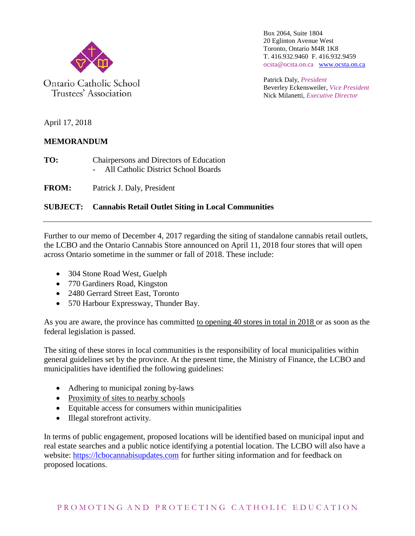

Ontario Catholic School Trustees' Association

Box 2064, Suite 1804 20 Eglinton Avenue West Toronto, Ontario M4R 1K8 T. 416.932.9460 F. 416.932.9459 ocsta@ocsta.on.ca [www.ocsta.on.ca](http://www.ocsta.on.ca/)

Patrick Daly, *President* Beverley Eckensweiler, *Vice President* Nick Milanetti, *Executive Director*

April 17, 2018

## **MEMORANDUM**

**TO:** Chairpersons and Directors of Education - All Catholic District School Boards

**FROM:** Patrick J. Daly, President

## **SUBJECT: Cannabis Retail Outlet Siting in Local Communities**

Further to our memo of December 4, 2017 regarding the siting of standalone cannabis retail outlets, the LCBO and the Ontario Cannabis Store announced on April 11, 2018 four stores that will open across Ontario sometime in the summer or fall of 2018. These include:

- 304 Stone Road West, Guelph
- 770 Gardiners Road, Kingston
- 2480 Gerrard Street East, Toronto
- 570 Harbour Expressway, Thunder Bay.

As you are aware, the province has committed to opening 40 stores in total in 2018 or as soon as the federal legislation is passed.

The siting of these stores in local communities is the responsibility of local municipalities within general guidelines set by the province. At the present time, the Ministry of Finance, the LCBO and municipalities have identified the following guidelines:

- Adhering to municipal zoning by-laws
- Proximity of sites to nearby schools
- Equitable access for consumers within municipalities
- Illegal storefront activity.

In terms of public engagement, proposed locations will be identified based on municipal input and real estate searches and a public notice identifying a potential location. The LCBO will also have a website: [https://lcbocannabisupdates.com](https://lcbocannabisupdates.com/) for further siting information and for feedback on proposed locations.